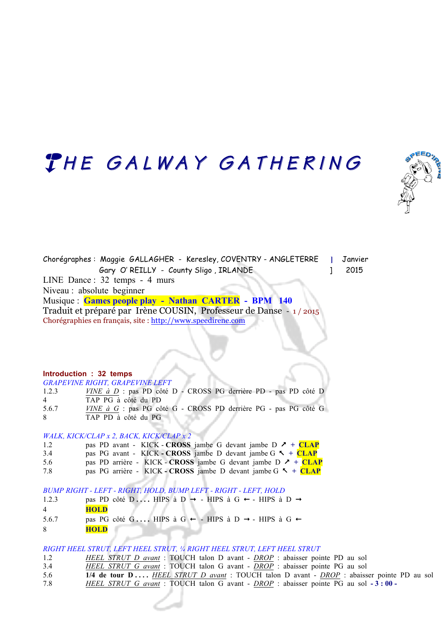# THE GALWAY GATHERING



Chorégraphes : Maggie GALLAGHER - Keresley, COVENTRY - ANGLETERRE **]** Janvier Gary O' REILLY - County Sligo, IRLANDE | 2015 LINE Dance : 32 temps - 4 murs Niveau : absolute beginner Musique : **Games people play - Nathan CARTER - BPM 140**  Traduit et préparé par Irène COUSIN, Professeur de Danse - 1 / 2015 Chorégraphies en français, site : http://www.speedirene.com

**Introduction : 32 temps** *GRAPEVINE RIGHT, GRAPEVINE LEFT*

|       | GRAPEVINE RIGHT, GRAPEVINE LEFT                                        |
|-------|------------------------------------------------------------------------|
| 1.2.3 | $VINE \t{a} D$ : pas PD côté D - CROSS PG derrière PD - pas PD côté D  |
| 4     | TAP PG à côté du PD                                                    |
| 5.6.7 | <i>VINE à G</i> : pas PG côté G - CROSS PD derrière PG - pas PG côté G |
| -8    | TAP PD à côté du PG                                                    |

#### *WALK, KICK/CLAP x 2, BACK, KICK/CLAP x 2*

| 1.2 | pas PD avant - KICK - CROSS jambe G devant jambe D $\lambda$ + CLAP   |
|-----|-----------------------------------------------------------------------|
| 3.4 | pas PG avant - KICK - CROSS jambe D devant jambe G $\sim +$ CLAP      |
| 5.6 | pas PD arrière - KICK - CROSS jambe G devant jambe D $\lambda$ + CLAP |
| 7.8 | pas PG arrière - KICK - CROSS jambe D devant jambe G $\sim +$ CLAP    |

*BUMP RIGHT - LEFT - RIGHT, HOLD, BUMP LEFT - RIGHT - LEFT, HOLD*

| 1.2.3 | pas PD côté D HIPS à D → - HIPS à G ← - HIPS à D → |
|-------|----------------------------------------------------|
| 4     | <b>HOLD</b>                                        |
| 5.6.7 | pas PG côté G HIPS à G ← - HIPS à D → - HIPS à G ← |

8 **HOLD** 

#### *RIGHT HEEL STRUT, LEFT HEEL STRUT, ¼ RIGHT HEEL STRUT, LEFT HEEL STRUT*

- 1.2 *HEEL STRUT D avant* : TOUCH talon D avant *DROP* : abaisser pointe PD au sol
- 3.4 *HEEL STRUT G avant* : TOUCH talon G avant *DROP* : abaisser pointe PG au sol
- 5.6 **1/4 de tour D ....** *HEEL STRUT D avant* : TOUCH talon D avant *DROP* : abaisser pointe PD au sol 7.8 *HEEL STRUT G avant* : TOUCH talon G avant - *DROP* : abaisser pointe PG au sol **- 3 : 00 -**